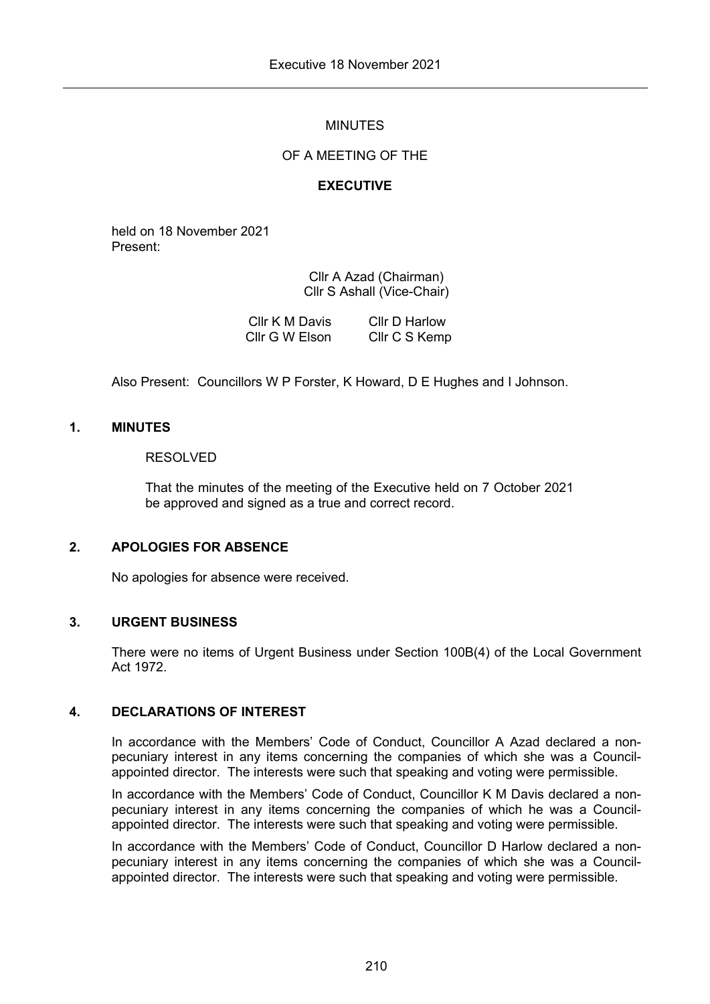# MINUTES

## OF A MEETING OF THE

## **EXECUTIVE**

held on 18 November 2021 Present:

> Cllr A Azad (Chairman) Cllr S Ashall (Vice-Chair)

| Cllr K M Davis | Cllr D Harlow |
|----------------|---------------|
| Cllr G W Elson | Cllr C S Kemp |

Also Present: Councillors W P Forster, K Howard, D E Hughes and I Johnson.

## **1. MINUTES**

### RESOLVED

That the minutes of the meeting of the Executive held on 7 October 2021 be approved and signed as a true and correct record.

# **2. APOLOGIES FOR ABSENCE**

No apologies for absence were received.

#### **3. URGENT BUSINESS**

There were no items of Urgent Business under Section 100B(4) of the Local Government Act 1972.

# **4. DECLARATIONS OF INTEREST**

In accordance with the Members' Code of Conduct, Councillor A Azad declared a nonpecuniary interest in any items concerning the companies of which she was a Councilappointed director. The interests were such that speaking and voting were permissible.

In accordance with the Members' Code of Conduct, Councillor K M Davis declared a nonpecuniary interest in any items concerning the companies of which he was a Councilappointed director. The interests were such that speaking and voting were permissible.

In accordance with the Members' Code of Conduct, Councillor D Harlow declared a nonpecuniary interest in any items concerning the companies of which she was a Councilappointed director. The interests were such that speaking and voting were permissible.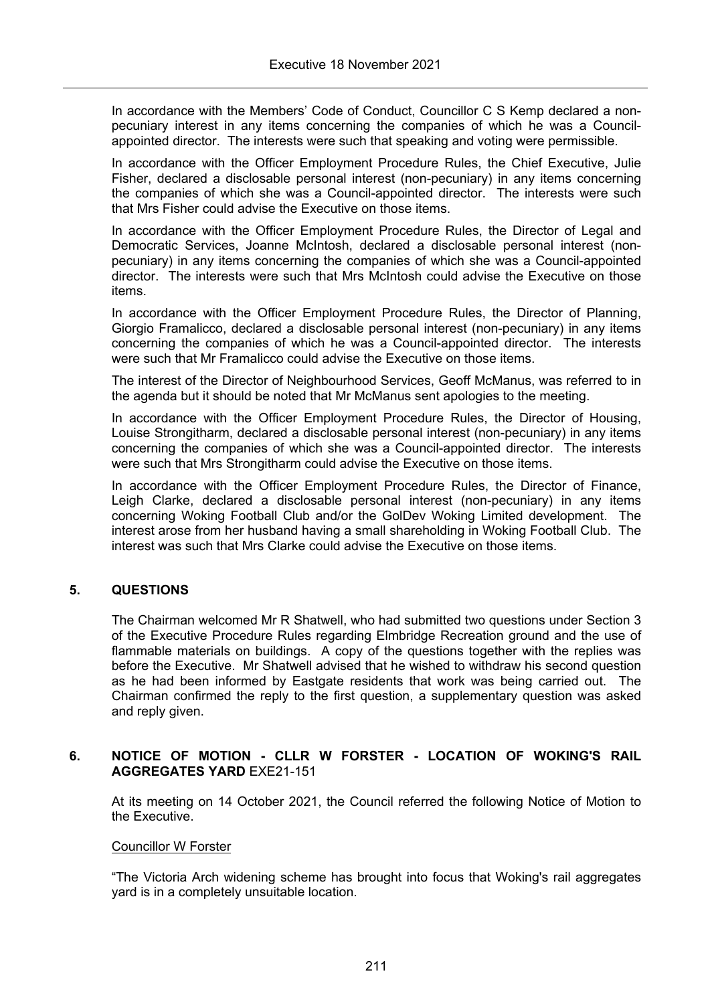In accordance with the Members' Code of Conduct, Councillor C S Kemp declared a nonpecuniary interest in any items concerning the companies of which he was a Councilappointed director. The interests were such that speaking and voting were permissible.

In accordance with the Officer Employment Procedure Rules, the Chief Executive, Julie Fisher, declared a disclosable personal interest (non-pecuniary) in any items concerning the companies of which she was a Council-appointed director. The interests were such that Mrs Fisher could advise the Executive on those items.

In accordance with the Officer Employment Procedure Rules, the Director of Legal and Democratic Services, Joanne McIntosh, declared a disclosable personal interest (nonpecuniary) in any items concerning the companies of which she was a Council-appointed director. The interests were such that Mrs McIntosh could advise the Executive on those items.

In accordance with the Officer Employment Procedure Rules, the Director of Planning, Giorgio Framalicco, declared a disclosable personal interest (non-pecuniary) in any items concerning the companies of which he was a Council-appointed director. The interests were such that Mr Framalicco could advise the Executive on those items.

The interest of the Director of Neighbourhood Services, Geoff McManus, was referred to in the agenda but it should be noted that Mr McManus sent apologies to the meeting.

In accordance with the Officer Employment Procedure Rules, the Director of Housing, Louise Strongitharm, declared a disclosable personal interest (non-pecuniary) in any items concerning the companies of which she was a Council-appointed director. The interests were such that Mrs Strongitharm could advise the Executive on those items.

In accordance with the Officer Employment Procedure Rules, the Director of Finance, Leigh Clarke, declared a disclosable personal interest (non-pecuniary) in any items concerning Woking Football Club and/or the GolDev Woking Limited development. The interest arose from her husband having a small shareholding in Woking Football Club. The interest was such that Mrs Clarke could advise the Executive on those items.

## **5. QUESTIONS**

The Chairman welcomed Mr R Shatwell, who had submitted two questions under Section 3 of the Executive Procedure Rules regarding Elmbridge Recreation ground and the use of flammable materials on buildings. A copy of the questions together with the replies was before the Executive. Mr Shatwell advised that he wished to withdraw his second question as he had been informed by Eastgate residents that work was being carried out. The Chairman confirmed the reply to the first question, a supplementary question was asked and reply given.

## **6. NOTICE OF MOTION - CLLR W FORSTER - LOCATION OF WOKING'S RAIL AGGREGATES YARD** EXE21-151

At its meeting on 14 October 2021, the Council referred the following Notice of Motion to the Executive.

#### Councillor W Forster

"The Victoria Arch widening scheme has brought into focus that Woking's rail aggregates yard is in a completely unsuitable location.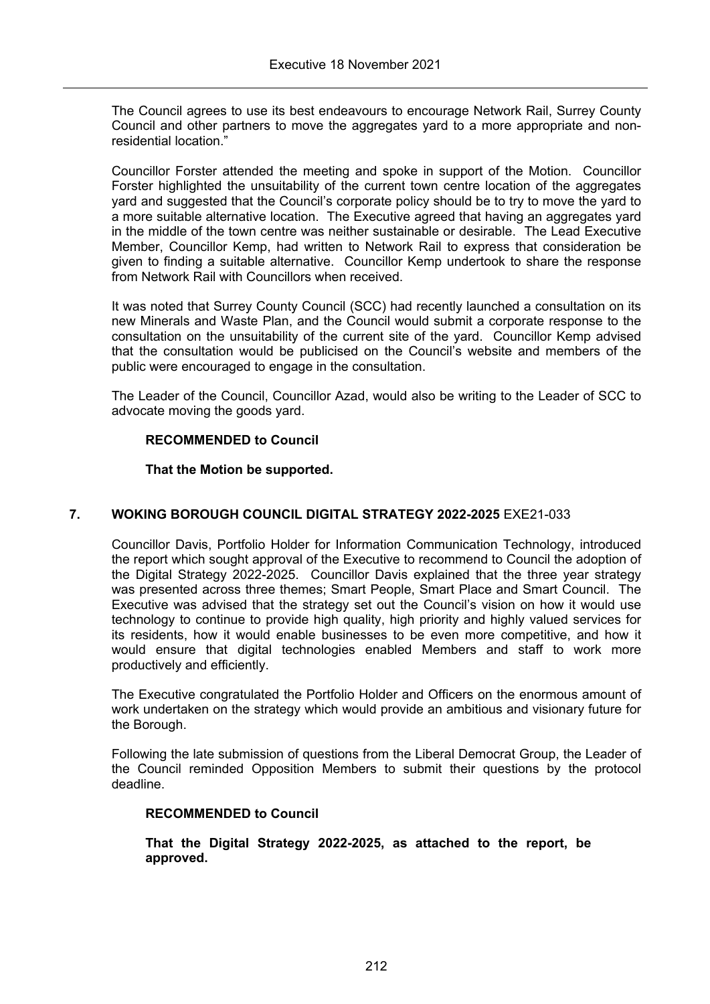The Council agrees to use its best endeavours to encourage Network Rail, Surrey County Council and other partners to move the aggregates yard to a more appropriate and nonresidential location."

Councillor Forster attended the meeting and spoke in support of the Motion. Councillor Forster highlighted the unsuitability of the current town centre location of the aggregates yard and suggested that the Council's corporate policy should be to try to move the yard to a more suitable alternative location. The Executive agreed that having an aggregates yard in the middle of the town centre was neither sustainable or desirable. The Lead Executive Member, Councillor Kemp, had written to Network Rail to express that consideration be given to finding a suitable alternative. Councillor Kemp undertook to share the response from Network Rail with Councillors when received.

It was noted that Surrey County Council (SCC) had recently launched a consultation on its new Minerals and Waste Plan, and the Council would submit a corporate response to the consultation on the unsuitability of the current site of the yard. Councillor Kemp advised that the consultation would be publicised on the Council's website and members of the public were encouraged to engage in the consultation.

The Leader of the Council, Councillor Azad, would also be writing to the Leader of SCC to advocate moving the goods yard.

## **RECOMMENDED to Council**

## **That the Motion be supported.**

# **7. WOKING BOROUGH COUNCIL DIGITAL STRATEGY 2022-2025** EXE21-033

Councillor Davis, Portfolio Holder for Information Communication Technology, introduced the report which sought approval of the Executive to recommend to Council the adoption of the Digital Strategy 2022-2025. Councillor Davis explained that the three year strategy was presented across three themes; Smart People, Smart Place and Smart Council. The Executive was advised that the strategy set out the Council's vision on how it would use technology to continue to provide high quality, high priority and highly valued services for its residents, how it would enable businesses to be even more competitive, and how it would ensure that digital technologies enabled Members and staff to work more productively and efficiently.

The Executive congratulated the Portfolio Holder and Officers on the enormous amount of work undertaken on the strategy which would provide an ambitious and visionary future for the Borough.

Following the late submission of questions from the Liberal Democrat Group, the Leader of the Council reminded Opposition Members to submit their questions by the protocol deadline.

## **RECOMMENDED to Council**

**That the Digital Strategy 2022-2025, as attached to the report, be approved.**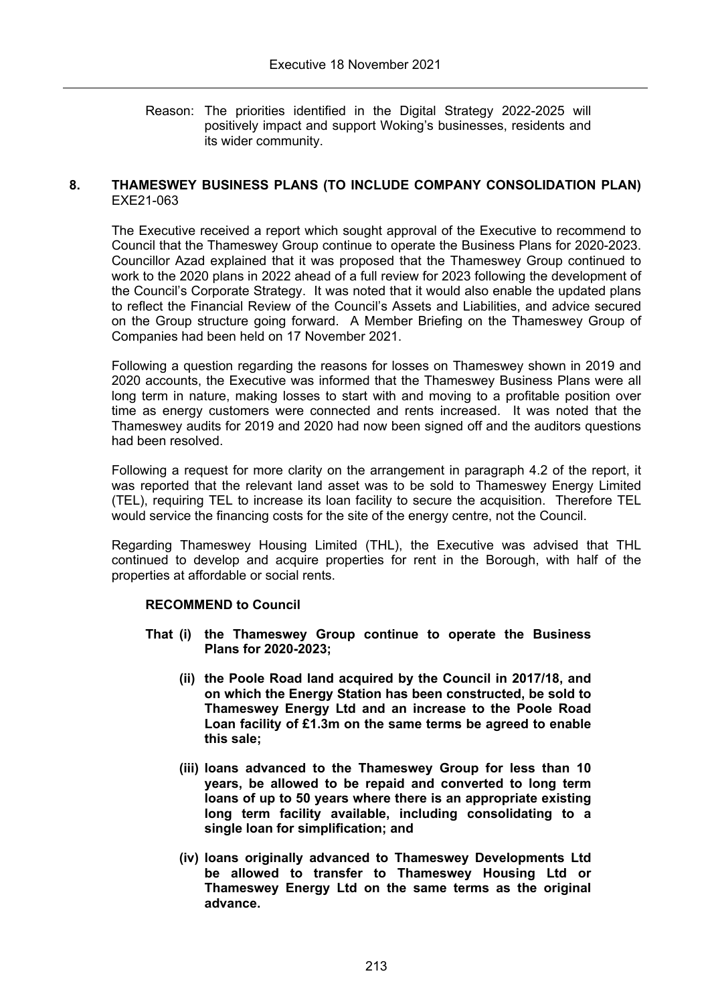Reason: The priorities identified in the Digital Strategy 2022-2025 will positively impact and support Woking's businesses, residents and its wider community.

### **8. THAMESWEY BUSINESS PLANS (TO INCLUDE COMPANY CONSOLIDATION PLAN)** EXE21-063

The Executive received a report which sought approval of the Executive to recommend to Council that the Thameswey Group continue to operate the Business Plans for 2020-2023. Councillor Azad explained that it was proposed that the Thameswey Group continued to work to the 2020 plans in 2022 ahead of a full review for 2023 following the development of the Council's Corporate Strategy. It was noted that it would also enable the updated plans to reflect the Financial Review of the Council's Assets and Liabilities, and advice secured on the Group structure going forward. A Member Briefing on the Thameswey Group of Companies had been held on 17 November 2021.

Following a question regarding the reasons for losses on Thameswey shown in 2019 and 2020 accounts, the Executive was informed that the Thameswey Business Plans were all long term in nature, making losses to start with and moving to a profitable position over time as energy customers were connected and rents increased. It was noted that the Thameswey audits for 2019 and 2020 had now been signed off and the auditors questions had been resolved.

Following a request for more clarity on the arrangement in paragraph 4.2 of the report, it was reported that the relevant land asset was to be sold to Thameswey Energy Limited (TEL), requiring TEL to increase its loan facility to secure the acquisition. Therefore TEL would service the financing costs for the site of the energy centre, not the Council.

Regarding Thameswey Housing Limited (THL), the Executive was advised that THL continued to develop and acquire properties for rent in the Borough, with half of the properties at affordable or social rents.

## **RECOMMEND to Council**

- **That (i) the Thameswey Group continue to operate the Business Plans for 2020-2023;**
	- **(ii) the Poole Road land acquired by the Council in 2017/18, and on which the Energy Station has been constructed, be sold to Thameswey Energy Ltd and an increase to the Poole Road Loan facility of £1.3m on the same terms be agreed to enable this sale;**
	- **(iii) loans advanced to the Thameswey Group for less than 10 years, be allowed to be repaid and converted to long term loans of up to 50 years where there is an appropriate existing long term facility available, including consolidating to a single loan for simplification; and**
	- **(iv) loans originally advanced to Thameswey Developments Ltd be allowed to transfer to Thameswey Housing Ltd or Thameswey Energy Ltd on the same terms as the original advance.**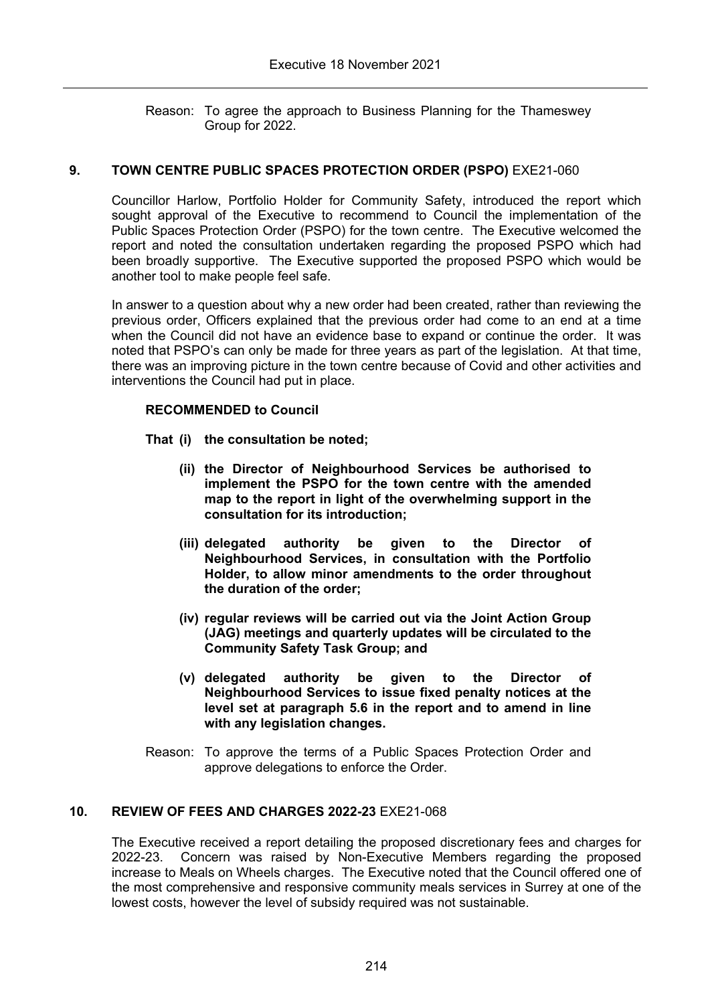Reason: To agree the approach to Business Planning for the Thameswey Group for 2022.

# **9. TOWN CENTRE PUBLIC SPACES PROTECTION ORDER (PSPO)** EXE21-060

Councillor Harlow, Portfolio Holder for Community Safety, introduced the report which sought approval of the Executive to recommend to Council the implementation of the Public Spaces Protection Order (PSPO) for the town centre. The Executive welcomed the report and noted the consultation undertaken regarding the proposed PSPO which had been broadly supportive. The Executive supported the proposed PSPO which would be another tool to make people feel safe.

In answer to a question about why a new order had been created, rather than reviewing the previous order, Officers explained that the previous order had come to an end at a time when the Council did not have an evidence base to expand or continue the order. It was noted that PSPO's can only be made for three years as part of the legislation. At that time, there was an improving picture in the town centre because of Covid and other activities and interventions the Council had put in place.

## **RECOMMENDED to Council**

- **That (i) the consultation be noted;**
	- **(ii) the Director of Neighbourhood Services be authorised to implement the PSPO for the town centre with the amended map to the report in light of the overwhelming support in the consultation for its introduction;**
	- **(iii) delegated authority be given to the Director of Neighbourhood Services, in consultation with the Portfolio Holder, to allow minor amendments to the order throughout the duration of the order;**
	- **(iv) regular reviews will be carried out via the Joint Action Group (JAG) meetings and quarterly updates will be circulated to the Community Safety Task Group; and**
	- **(v) delegated authority be given to the Director of Neighbourhood Services to issue fixed penalty notices at the level set at paragraph 5.6 in the report and to amend in line with any legislation changes.**
- Reason: To approve the terms of a Public Spaces Protection Order and approve delegations to enforce the Order.

## **10. REVIEW OF FEES AND CHARGES 2022-23** EXE21-068

The Executive received a report detailing the proposed discretionary fees and charges for 2022-23. Concern was raised by Non-Executive Members regarding the proposed increase to Meals on Wheels charges. The Executive noted that the Council offered one of the most comprehensive and responsive community meals services in Surrey at one of the lowest costs, however the level of subsidy required was not sustainable.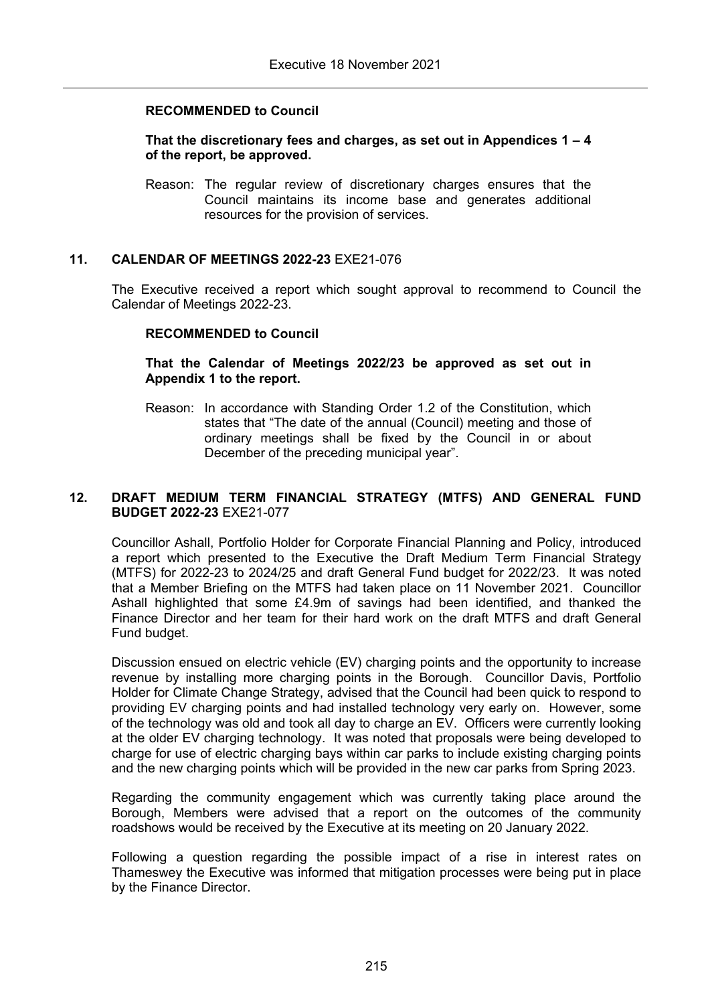### **RECOMMENDED to Council**

### **That the discretionary fees and charges, as set out in Appendices 1 – 4 of the report, be approved.**

Reason: The regular review of discretionary charges ensures that the Council maintains its income base and generates additional resources for the provision of services.

### **11. CALENDAR OF MEETINGS 2022-23** EXE21-076

The Executive received a report which sought approval to recommend to Council the Calendar of Meetings 2022-23.

#### **RECOMMENDED to Council**

### **That the Calendar of Meetings 2022/23 be approved as set out in Appendix 1 to the report.**

Reason: In accordance with Standing Order 1.2 of the Constitution, which states that "The date of the annual (Council) meeting and those of ordinary meetings shall be fixed by the Council in or about December of the preceding municipal year".

### **12. DRAFT MEDIUM TERM FINANCIAL STRATEGY (MTFS) AND GENERAL FUND BUDGET 2022-23** EXE21-077

Councillor Ashall, Portfolio Holder for Corporate Financial Planning and Policy, introduced a report which presented to the Executive the Draft Medium Term Financial Strategy (MTFS) for 2022-23 to 2024/25 and draft General Fund budget for 2022/23. It was noted that a Member Briefing on the MTFS had taken place on 11 November 2021. Councillor Ashall highlighted that some £4.9m of savings had been identified, and thanked the Finance Director and her team for their hard work on the draft MTFS and draft General Fund budget.

Discussion ensued on electric vehicle (EV) charging points and the opportunity to increase revenue by installing more charging points in the Borough. Councillor Davis, Portfolio Holder for Climate Change Strategy, advised that the Council had been quick to respond to providing EV charging points and had installed technology very early on. However, some of the technology was old and took all day to charge an EV. Officers were currently looking at the older EV charging technology. It was noted that proposals were being developed to charge for use of electric charging bays within car parks to include existing charging points and the new charging points which will be provided in the new car parks from Spring 2023.

Regarding the community engagement which was currently taking place around the Borough, Members were advised that a report on the outcomes of the community roadshows would be received by the Executive at its meeting on 20 January 2022.

Following a question regarding the possible impact of a rise in interest rates on Thameswey the Executive was informed that mitigation processes were being put in place by the Finance Director.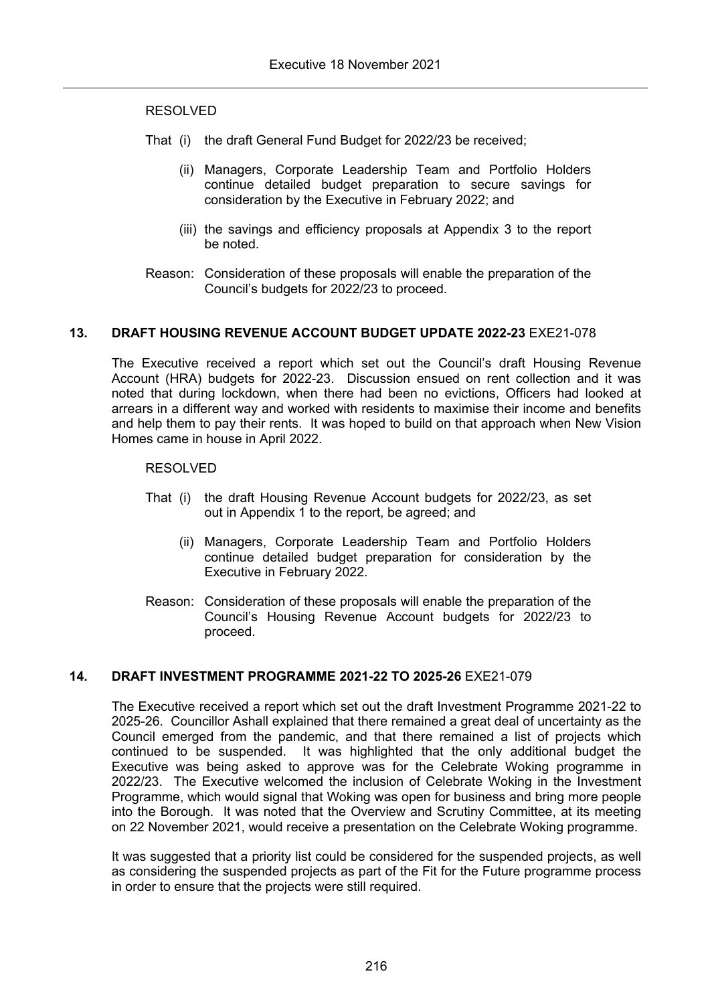### RESOLVED

- That (i) the draft General Fund Budget for 2022/23 be received;
	- (ii) Managers, Corporate Leadership Team and Portfolio Holders continue detailed budget preparation to secure savings for consideration by the Executive in February 2022; and
	- (iii) the savings and efficiency proposals at Appendix 3 to the report be noted.
- Reason: Consideration of these proposals will enable the preparation of the Council's budgets for 2022/23 to proceed.

### **13. DRAFT HOUSING REVENUE ACCOUNT BUDGET UPDATE 2022-23** EXE21-078

The Executive received a report which set out the Council's draft Housing Revenue Account (HRA) budgets for 2022-23. Discussion ensued on rent collection and it was noted that during lockdown, when there had been no evictions, Officers had looked at arrears in a different way and worked with residents to maximise their income and benefits and help them to pay their rents. It was hoped to build on that approach when New Vision Homes came in house in April 2022.

### RESOLVED

- That (i) the draft Housing Revenue Account budgets for 2022/23, as set out in Appendix 1 to the report, be agreed; and
	- (ii) Managers, Corporate Leadership Team and Portfolio Holders continue detailed budget preparation for consideration by the Executive in February 2022.
- Reason: Consideration of these proposals will enable the preparation of the Council's Housing Revenue Account budgets for 2022/23 to proceed.

## **14. DRAFT INVESTMENT PROGRAMME 2021-22 TO 2025-26** EXE21-079

The Executive received a report which set out the draft Investment Programme 2021-22 to 2025-26. Councillor Ashall explained that there remained a great deal of uncertainty as the Council emerged from the pandemic, and that there remained a list of projects which continued to be suspended. It was highlighted that the only additional budget the Executive was being asked to approve was for the Celebrate Woking programme in 2022/23. The Executive welcomed the inclusion of Celebrate Woking in the Investment Programme, which would signal that Woking was open for business and bring more people into the Borough. It was noted that the Overview and Scrutiny Committee, at its meeting on 22 November 2021, would receive a presentation on the Celebrate Woking programme.

It was suggested that a priority list could be considered for the suspended projects, as well as considering the suspended projects as part of the Fit for the Future programme process in order to ensure that the projects were still required.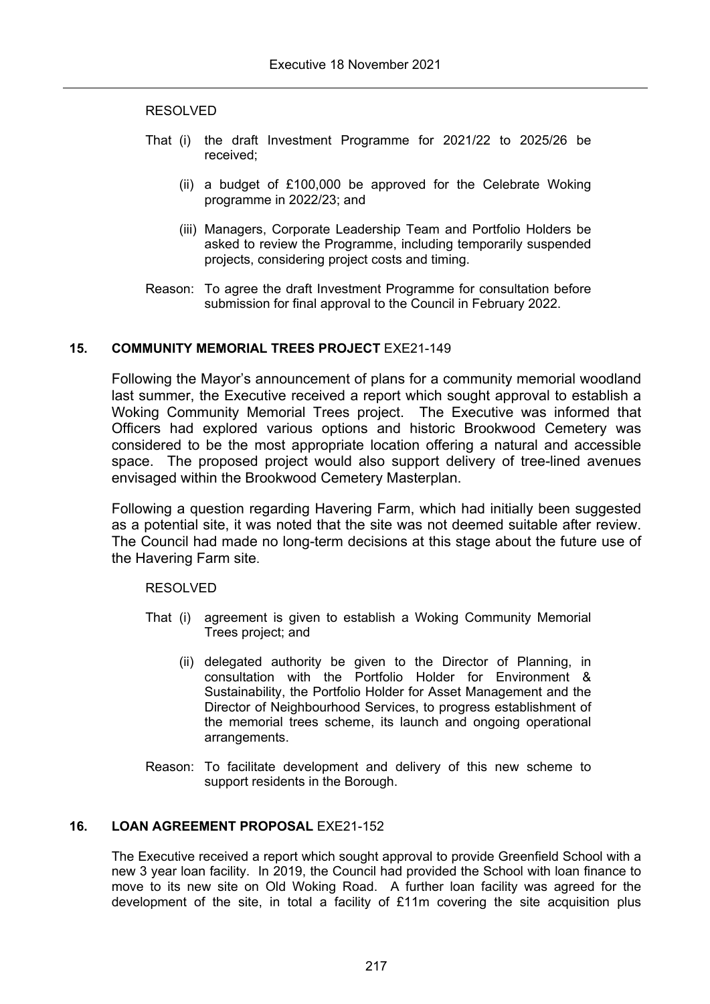### RESOLVED

- That (i) the draft Investment Programme for 2021/22 to 2025/26 be received;
	- (ii) a budget of £100,000 be approved for the Celebrate Woking programme in 2022/23; and
	- (iii) Managers, Corporate Leadership Team and Portfolio Holders be asked to review the Programme, including temporarily suspended projects, considering project costs and timing.
- Reason: To agree the draft Investment Programme for consultation before submission for final approval to the Council in February 2022.

## **15. COMMUNITY MEMORIAL TREES PROJECT** EXE21-149

Following the Mayor's announcement of plans for a community memorial woodland last summer, the Executive received a report which sought approval to establish a Woking Community Memorial Trees project. The Executive was informed that Officers had explored various options and historic Brookwood Cemetery was considered to be the most appropriate location offering a natural and accessible space. The proposed project would also support delivery of tree-lined avenues envisaged within the Brookwood Cemetery Masterplan.

Following a question regarding Havering Farm, which had initially been suggested as a potential site, it was noted that the site was not deemed suitable after review. The Council had made no long-term decisions at this stage about the future use of the Havering Farm site.

RESOLVED

- That (i) agreement is given to establish a Woking Community Memorial Trees project; and
	- (ii) delegated authority be given to the Director of Planning, in consultation with the Portfolio Holder for Environment & Sustainability, the Portfolio Holder for Asset Management and the Director of Neighbourhood Services, to progress establishment of the memorial trees scheme, its launch and ongoing operational arrangements.
- Reason: To facilitate development and delivery of this new scheme to support residents in the Borough.

## **16. LOAN AGREEMENT PROPOSAL** EXE21-152

The Executive received a report which sought approval to provide Greenfield School with a new 3 year loan facility. In 2019, the Council had provided the School with loan finance to move to its new site on Old Woking Road. A further loan facility was agreed for the development of the site, in total a facility of £11m covering the site acquisition plus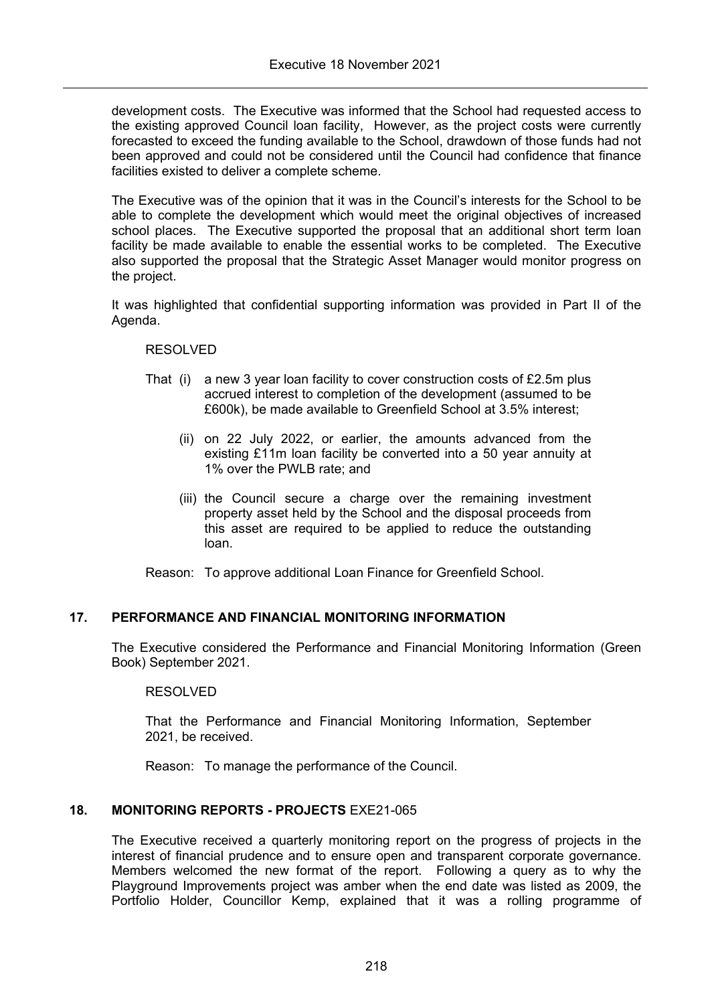development costs. The Executive was informed that the School had requested access to the existing approved Council loan facility, However, as the project costs were currently forecasted to exceed the funding available to the School, drawdown of those funds had not been approved and could not be considered until the Council had confidence that finance facilities existed to deliver a complete scheme.

The Executive was of the opinion that it was in the Council's interests for the School to be able to complete the development which would meet the original objectives of increased school places. The Executive supported the proposal that an additional short term loan facility be made available to enable the essential works to be completed. The Executive also supported the proposal that the Strategic Asset Manager would monitor progress on the project.

It was highlighted that confidential supporting information was provided in Part II of the Agenda.

### RESOLVED

- That (i) a new 3 year loan facility to cover construction costs of £2.5m plus accrued interest to completion of the development (assumed to be £600k), be made available to Greenfield School at 3.5% interest;
	- (ii) on 22 July 2022, or earlier, the amounts advanced from the existing £11m loan facility be converted into a 50 year annuity at 1% over the PWLB rate; and
	- (iii) the Council secure a charge over the remaining investment property asset held by the School and the disposal proceeds from this asset are required to be applied to reduce the outstanding loan.

Reason: To approve additional Loan Finance for Greenfield School.

## **17. PERFORMANCE AND FINANCIAL MONITORING INFORMATION**

The Executive considered the Performance and Financial Monitoring Information (Green Book) September 2021.

## RESOLVED

That the Performance and Financial Monitoring Information, September 2021, be received.

Reason: To manage the performance of the Council.

## **18. MONITORING REPORTS - PROJECTS** EXE21-065

The Executive received a quarterly monitoring report on the progress of projects in the interest of financial prudence and to ensure open and transparent corporate governance. Members welcomed the new format of the report. Following a query as to why the Playground Improvements project was amber when the end date was listed as 2009, the Portfolio Holder, Councillor Kemp, explained that it was a rolling programme of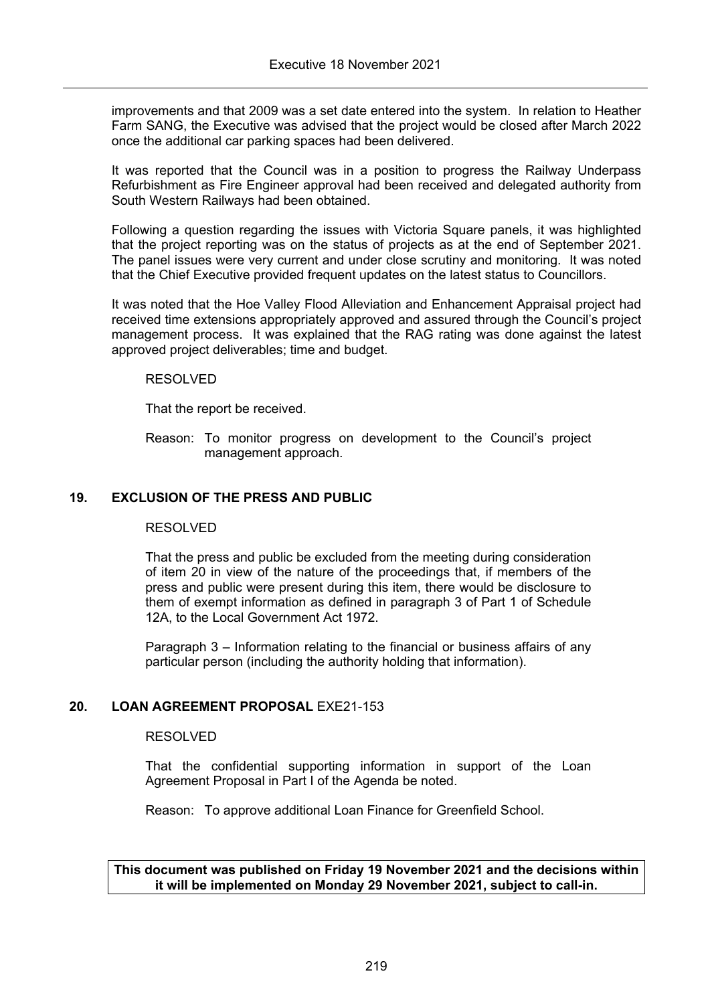improvements and that 2009 was a set date entered into the system. In relation to Heather Farm SANG, the Executive was advised that the project would be closed after March 2022 once the additional car parking spaces had been delivered.

It was reported that the Council was in a position to progress the Railway Underpass Refurbishment as Fire Engineer approval had been received and delegated authority from South Western Railways had been obtained.

Following a question regarding the issues with Victoria Square panels, it was highlighted that the project reporting was on the status of projects as at the end of September 2021. The panel issues were very current and under close scrutiny and monitoring. It was noted that the Chief Executive provided frequent updates on the latest status to Councillors.

It was noted that the Hoe Valley Flood Alleviation and Enhancement Appraisal project had received time extensions appropriately approved and assured through the Council's project management process. It was explained that the RAG rating was done against the latest approved project deliverables; time and budget.

### RESOLVED

That the report be received.

Reason: To monitor progress on development to the Council's project management approach.

## **19. EXCLUSION OF THE PRESS AND PUBLIC**

#### RESOLVED

That the press and public be excluded from the meeting during consideration of item 20 in view of the nature of the proceedings that, if members of the press and public were present during this item, there would be disclosure to them of exempt information as defined in paragraph 3 of Part 1 of Schedule 12A, to the Local Government Act 1972.

Paragraph 3 – Information relating to the financial or business affairs of any particular person (including the authority holding that information).

## **20. LOAN AGREEMENT PROPOSAL** EXE21-153

#### RESOLVED

That the confidential supporting information in support of the Loan Agreement Proposal in Part I of the Agenda be noted.

Reason: To approve additional Loan Finance for Greenfield School.

## **This document was published on Friday 19 November 2021 and the decisions within it will be implemented on Monday 29 November 2021, subject to call-in.**